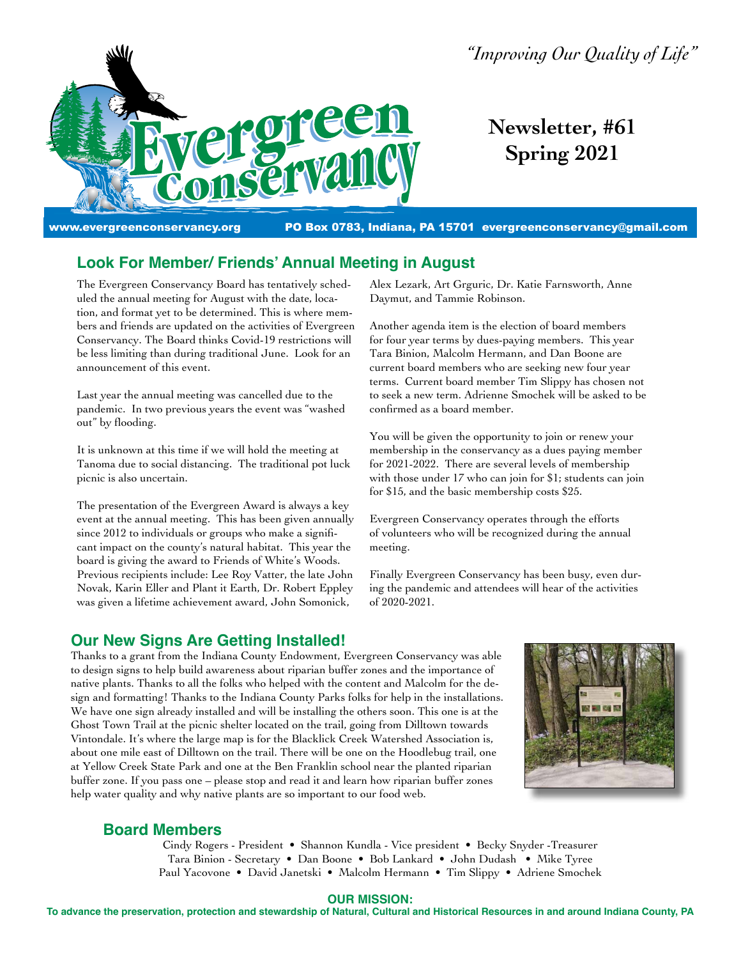

*"Improving Our Quality of Life"*

# **Newsletter, #61 Spring 2021**

www.evergreenconservancy.org PO Box 0783, Indiana, PA 15701 [evergreenconservancy@gmail.com](mailto:evergreenconservancy@gmail.com)

# **Look For Member/ Friends' Annual Meeting in August**

The Evergreen Conservancy Board has tentatively scheduled the annual meeting for August with the date, location, and format yet to be determined. This is where members and friends are updated on the activities of Evergreen Conservancy. The Board thinks Covid-19 restrictions will be less limiting than during traditional June. Look for an announcement of this event.

Last year the annual meeting was cancelled due to the pandemic. In two previous years the event was "washed out" by flooding.

It is unknown at this time if we will hold the meeting at Tanoma due to social distancing. The traditional pot luck picnic is also uncertain.

The presentation of the Evergreen Award is always a key event at the annual meeting. This has been given annually since 2012 to individuals or groups who make a significant impact on the county's natural habitat. This year the board is giving the award to Friends of White's Woods. Previous recipients include: Lee Roy Vatter, the late John Novak, Karin Eller and Plant it Earth, Dr. Robert Eppley was given a lifetime achievement award, John Somonick,

Alex Lezark, Art Grguric, Dr. Katie Farnsworth, Anne Daymut, and Tammie Robinson.

Another agenda item is the election of board members for four year terms by dues-paying members. This year Tara Binion, Malcolm Hermann, and Dan Boone are current board members who are seeking new four year terms. Current board member Tim Slippy has chosen not to seek a new term. Adrienne Smochek will be asked to be confirmed as a board member.

You will be given the opportunity to join or renew your membership in the conservancy as a dues paying member for 2021-2022. There are several levels of membership with those under 17 who can join for \$1; students can join for \$15, and the basic membership costs \$25.

Evergreen Conservancy operates through the efforts of volunteers who will be recognized during the annual meeting.

Finally Evergreen Conservancy has been busy, even during the pandemic and attendees will hear of the activities of 2020-2021.

# **Our New Signs Are Getting Installed!**

Thanks to a grant from the Indiana County Endowment, Evergreen Conservancy was able to design signs to help build awareness about riparian buffer zones and the importance of native plants. Thanks to all the folks who helped with the content and Malcolm for the design and formatting! Thanks to the Indiana County Parks folks for help in the installations. We have one sign already installed and will be installing the others soon. This one is at the Ghost Town Trail at the picnic shelter located on the trail, going from Dilltown towards Vintondale. It's where the large map is for the Blacklick Creek Watershed Association is, about one mile east of Dilltown on the trail. There will be one on the Hoodlebug trail, one at Yellow Creek State Park and one at the Ben Franklin school near the planted riparian buffer zone. If you pass one – please stop and read it and learn how riparian buffer zones help water quality and why native plants are so important to our food web.



# **Board Members**

Cindy Rogers - President • Shannon Kundla - Vice president • Becky Snyder -Treasurer Tara Binion - Secretary • Dan Boone • Bob Lankard • John Dudash • Mike Tyree Paul Yacovone • David Janetski • Malcolm Hermann • Tim Slippy • Adriene Smochek

#### **OUR MISSION:**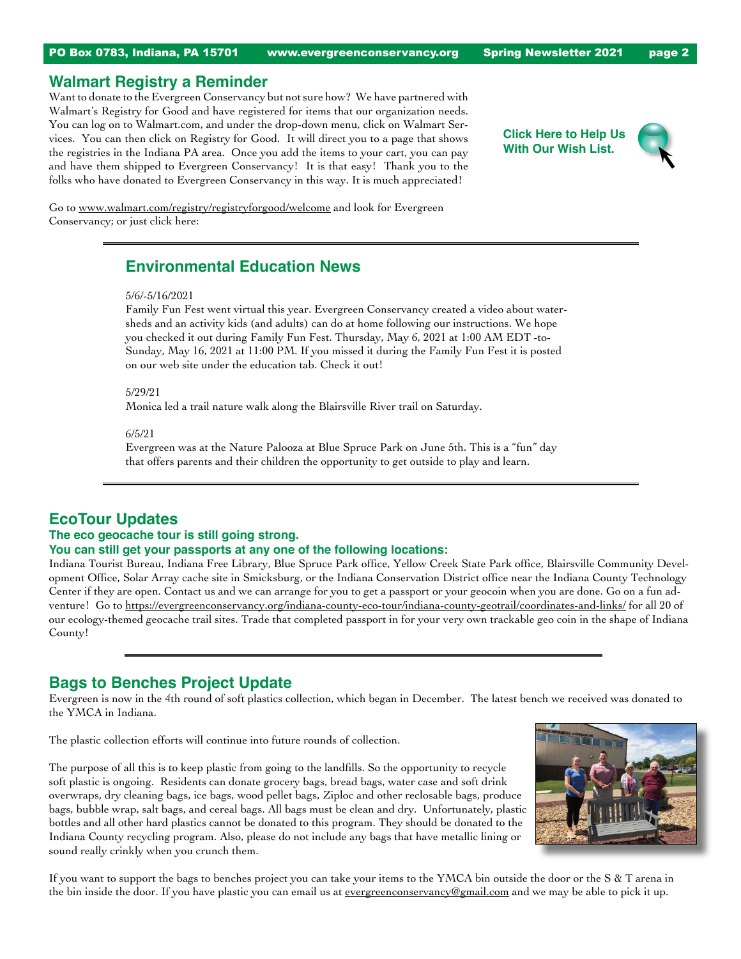# **Walmart Registry a Reminder**

Want to donate to the Evergreen Conservancy but not sure how? We have partnered with Walmart's Registry for Good and have registered for items that our organization needs. You can log on to Walmart.com, and under the drop-down menu, click on Walmart Services. You can then click on Registry for Good. It will direct you to a page that shows the registries in the Indiana PA area. Once you add the items to your cart, you can pay and have them shipped to Evergreen Conservancy! It is that easy! Thank you to the folks who have donated to Evergreen Conservancy in this way. It is much appreciated!

**Click Here to Help Us With Our Wish List.**



Go to [www.walmart.com/registry/registryforgood/welcome](https://www.walmart.com/registry/registryforgood/welcome) and look for Evergreen Conservancy; or just click here:

# **Environmental Education News**

#### 5/6/-5/16/2021

Family Fun Fest went virtual this year. Evergreen Conservancy created a video about watersheds and an activity kids (and adults) can do at home following our instructions. We hope you checked it out during Family Fun Fest. Thursday, May 6, 2021 at 1:00 AM EDT -to-Sunday, May 16, 2021 at 11:00 PM. If you missed it during the Family Fun Fest it is posted on our web site under the education tab. Check it out!

5/29/21

Monica led a trail nature walk along the Blairsville River trail on Saturday.

#### 6/5/21

Evergreen was at the Nature Palooza at Blue Spruce Park on June 5th. This is a "fun" day that offers parents and their children the opportunity to get outside to play and learn.

# **EcoTour Updates**

### **The eco geocache tour is still going strong.**

#### **You can still get your passports at any one of the following locations:**

Indiana Tourist Bureau, Indiana Free Library, Blue Spruce Park office, Yellow Creek State Park office, Blairsville Community Development Office, Solar Array cache site in Smicksburg, or the Indiana Conservation District office near the Indiana County Technology Center if they are open. Contact us and we can arrange for you to get a passport or your geocoin when you are done. Go on a fun adventure! Go to <https://evergreenconservancy.org/indiana-county-eco-tour/indiana-county-geotrail/coordinates-and-links/> for all 20 of our ecology-themed geocache trail sites. Trade that completed passport in for your very own trackable geo coin in the shape of Indiana County!

### **Bags to Benches Project Update**

Evergreen is now in the 4th round of soft plastics collection, which began in December. The latest bench we received was donated to the YMCA in Indiana.

The plastic collection efforts will continue into future rounds of collection.

The purpose of all this is to keep plastic from going to the landfills. So the opportunity to recycle soft plastic is ongoing. Residents can donate grocery bags, bread bags, water case and soft drink overwraps, dry cleaning bags, ice bags, wood pellet bags, Ziploc and other reclosable bags, produce bags, bubble wrap, salt bags, and cereal bags. All bags must be clean and dry. Unfortunately, plastic bottles and all other hard plastics cannot be donated to this program. They should be donated to the Indiana County recycling program. Also, please do not include any bags that have metallic lining or sound really crinkly when you crunch them.



If you want to support the bags to benches project you can take your items to the YMCA bin outside the door or the S & T arena in the bin inside the door. If you have plastic you can email us at <u>evergreenconservancy@gmail.com</u> and we may be able to pick it up.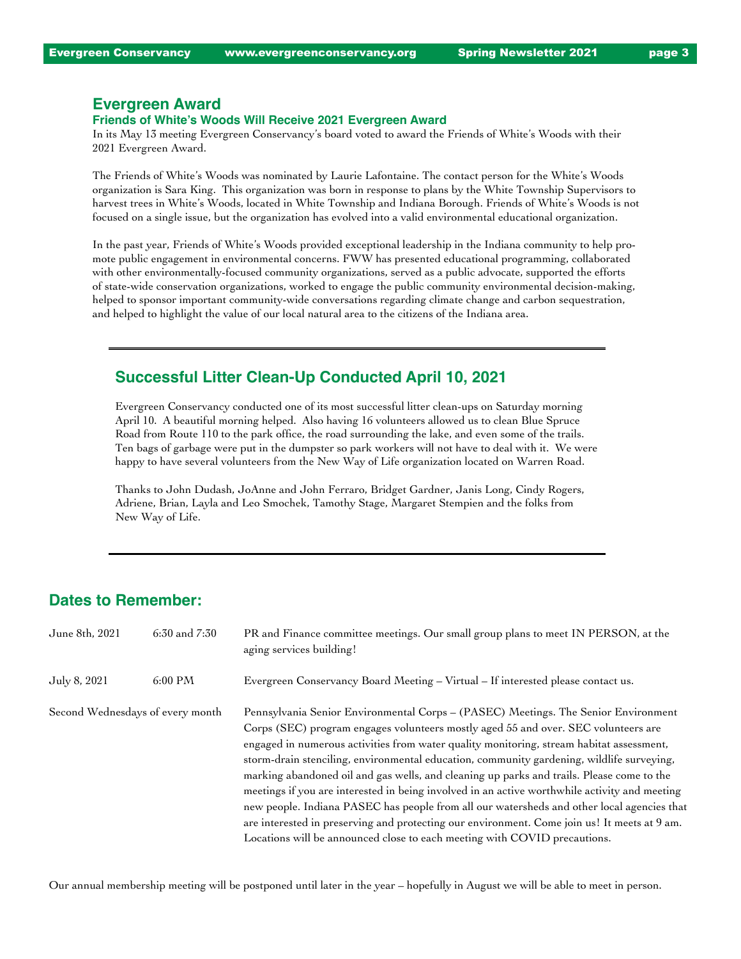### **Evergreen Award**

### **Friends of White's Woods Will Receive 2021 Evergreen Award**

In its May 13 meeting Evergreen Conservancy's board voted to award the Friends of White's Woods with their 2021 Evergreen Award.

The Friends of White's Woods was nominated by Laurie Lafontaine. The contact person for the White's Woods organization is Sara King. This organization was born in response to plans by the White Township Supervisors to harvest trees in White's Woods, located in White Township and Indiana Borough. Friends of White's Woods is not focused on a single issue, but the organization has evolved into a valid environmental educational organization.

In the past year, Friends of White's Woods provided exceptional leadership in the Indiana community to help promote public engagement in environmental concerns. FWW has presented educational programming, collaborated with other environmentally-focused community organizations, served as a public advocate, supported the efforts of state-wide conservation organizations, worked to engage the public community environmental decision-making, helped to sponsor important community-wide conversations regarding climate change and carbon sequestration, and helped to highlight the value of our local natural area to the citizens of the Indiana area.

### **Successful Litter Clean-Up Conducted April 10, 2021**

Evergreen Conservancy conducted one of its most successful litter clean-ups on Saturday morning April 10. A beautiful morning helped. Also having 16 volunteers allowed us to clean Blue Spruce Road from Route 110 to the park office, the road surrounding the lake, and even some of the trails. Ten bags of garbage were put in the dumpster so park workers will not have to deal with it. We were happy to have several volunteers from the New Way of Life organization located on Warren Road.

Thanks to John Dudash, JoAnne and John Ferraro, Bridget Gardner, Janis Long, Cindy Rogers, Adriene, Brian, Layla and Leo Smochek, Tamothy Stage, Margaret Stempien and the folks from New Way of Life.

# **Dates to Remember:**

| June 8th, 2021                   | $6:30$ and $7:30$ | PR and Finance committee meetings. Our small group plans to meet IN PERSON, at the<br>aging services building!                                                                                                                                                                                                                                                                                                                                                                                                                                                                                                                                                                                                                                                                                                                             |
|----------------------------------|-------------------|--------------------------------------------------------------------------------------------------------------------------------------------------------------------------------------------------------------------------------------------------------------------------------------------------------------------------------------------------------------------------------------------------------------------------------------------------------------------------------------------------------------------------------------------------------------------------------------------------------------------------------------------------------------------------------------------------------------------------------------------------------------------------------------------------------------------------------------------|
| July 8, 2021                     | 6:00 PM           | Evergreen Conservancy Board Meeting - Virtual - If interested please contact us.                                                                                                                                                                                                                                                                                                                                                                                                                                                                                                                                                                                                                                                                                                                                                           |
| Second Wednesdays of every month |                   | Pennsylvania Senior Environmental Corps - (PASEC) Meetings. The Senior Environment<br>Corps (SEC) program engages volunteers mostly aged 55 and over. SEC volunteers are<br>engaged in numerous activities from water quality monitoring, stream habitat assessment,<br>storm-drain stenciling, environmental education, community gardening, wildlife surveying,<br>marking abandoned oil and gas wells, and cleaning up parks and trails. Please come to the<br>meetings if you are interested in being involved in an active worthwhile activity and meeting<br>new people. Indiana PASEC has people from all our watersheds and other local agencies that<br>are interested in preserving and protecting our environment. Come join us! It meets at 9 am.<br>Locations will be announced close to each meeting with COVID precautions. |

Our annual membership meeting will be postponed until later in the year – hopefully in August we will be able to meet in person.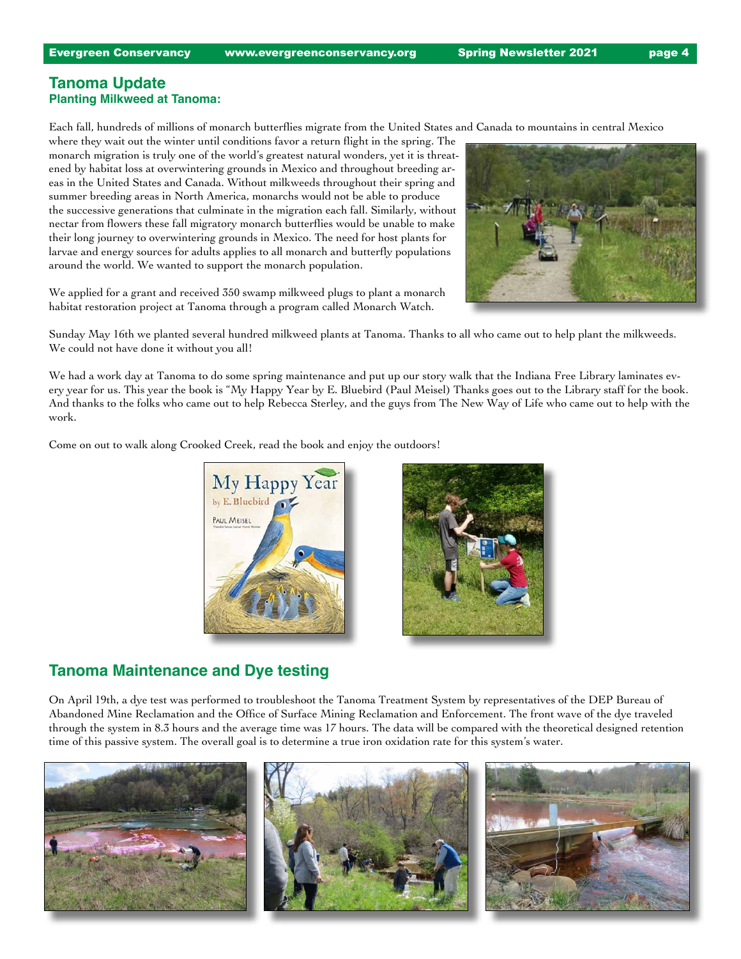### **Tanoma Update Planting Milkweed at Tanoma:**

Each fall, hundreds of millions of monarch butterflies migrate from the United States and Canada to mountains in central Mexico

where they wait out the winter until conditions favor a return flight in the spring. The monarch migration is truly one of the world's greatest natural wonders, yet it is threatened by habitat loss at overwintering grounds in Mexico and throughout breeding areas in the United States and Canada. Without milkweeds throughout their spring and summer breeding areas in North America, monarchs would not be able to produce the successive generations that culminate in the migration each fall. Similarly, without nectar from flowers these fall migratory monarch butterflies would be unable to make their long journey to overwintering grounds in Mexico. The need for host plants for larvae and energy sources for adults applies to all monarch and butterfly populations around the world. We wanted to support the monarch population.

We applied for a grant and received 350 swamp milkweed plugs to plant a monarch habitat restoration project at Tanoma through a program called Monarch Watch.



Sunday May 16th we planted several hundred milkweed plants at Tanoma. Thanks to all who came out to help plant the milkweeds. We could not have done it without you all!

We had a work day at Tanoma to do some spring maintenance and put up our story walk that the Indiana Free Library laminates every year for us. This year the book is "My Happy Year by E. Bluebird (Paul Meisel) Thanks goes out to the Library staff for the book. And thanks to the folks who came out to help Rebecca Sterley, and the guys from The New Way of Life who came out to help with the work.

Come on out to walk along Crooked Creek, read the book and enjoy the outdoors!



### **Tanoma Maintenance and Dye testing**

On April 19th, a dye test was performed to troubleshoot the Tanoma Treatment System by representatives of the DEP Bureau of Abandoned Mine Reclamation and the Office of Surface Mining Reclamation and Enforcement. The front wave of the dye traveled through the system in 8.3 hours and the average time was 17 hours. The data will be compared with the theoretical designed retention time of this passive system. The overall goal is to determine a true iron oxidation rate for this system's water.

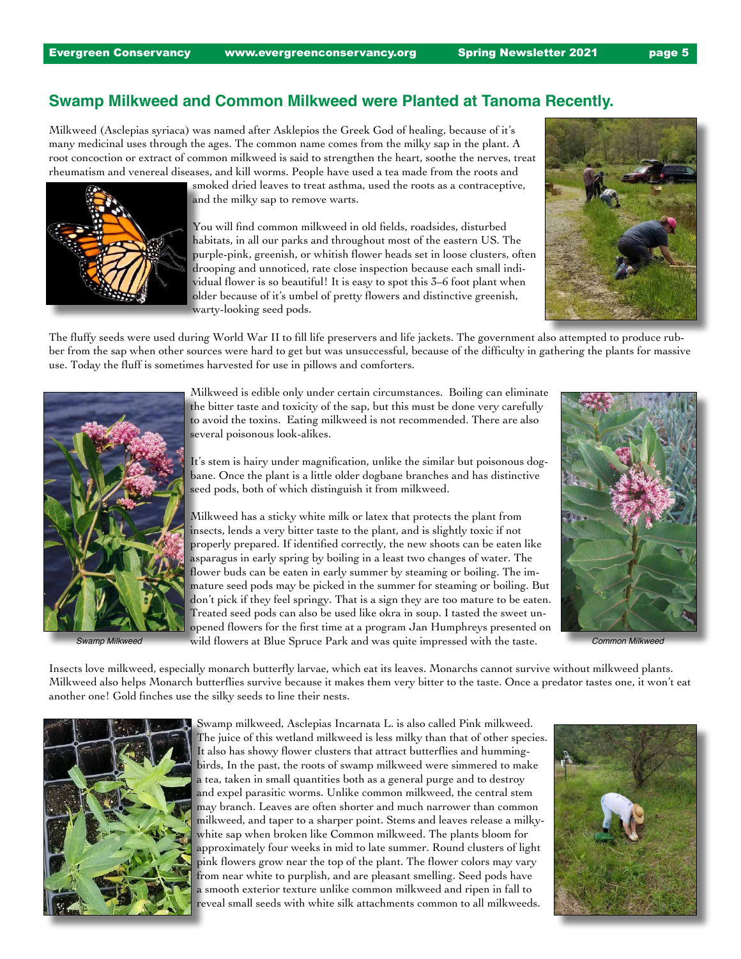# **Swamp Milkweed and Common Milkweed were Planted at Tanoma Recently.**

Milkweed (Asclepias syriaca) was named after Asklepios the Greek God of healing, because of it's many medicinal uses through the ages. The common name comes from the milky sap in the plant. A root concoction or extract of common milkweed is said to strengthen the heart, soothe the nerves, treat rheumatism and venereal diseases, and kill worms. People have used a tea made from the roots and

> smoked dried leaves to treat asthma, used the roots as a contraceptive, and the milky sap to remove warts.

You will find common milkweed in old fields, roadsides, disturbed habitats, in all our parks and throughout most of the eastern US. The purple-pink, greenish, or whitish flower heads set in loose clusters, often drooping and unnoticed, rate close inspection because each small individual flower is so beautiful! It is easy to spot this 3–6 foot plant when older because of it's umbel of pretty flowers and distinctive greenish, warty-looking seed pods.



The fluffy seeds were used during World War II to fill life preservers and life jackets. The government also attempted to produce rubber from the sap when other sources were hard to get but was unsuccessful, because of the difficulty in gathering the plants for massive use. Today the fluff is sometimes harvested for use in pillows and comforters.



Milkweed is edible only under certain circumstances. Boiling can eliminate the bitter taste and toxicity of the sap, but this must be done very carefully to avoid the toxins. Eating milkweed is not recommended. There are also several poisonous look-alikes.

It's stem is hairy under magnification, unlike the similar but poisonous dogbane. Once the plant is a little older dogbane branches and has distinctive seed pods, both of which distinguish it from milkweed.

Milkweed has a sticky white milk or latex that protects the plant from insects, lends a very bitter taste to the plant, and is slightly toxic if not properly prepared. If identified correctly, the new shoots can be eaten like asparagus in early spring by boiling in a least two changes of water. The flower buds can be eaten in early summer by steaming or boiling. The immature seed pods may be picked in the summer for steaming or boiling. But don't pick if they feel springy. That is a sign they are too mature to be eaten. Treated seed pods can also be used like okra in soup. I tasted the sweet unopened flowers for the first time at a program Jan Humphreys presented on wild flowers at Blue Spruce Park and was quite impressed with the taste. *Swamp Milkweed Common Milkweed*



Insects love milkweed, especially monarch butterfly larvae, which eat its leaves. Monarchs cannot survive without milkweed plants. Milkweed also helps Monarch butterflies survive because it makes them very bitter to the taste. Once a predator tastes one, it won't eat another one! Gold finches use the silky seeds to line their nests.



Swamp milkweed, Asclepias Incarnata L. is also called Pink milkweed. The juice of this wetland milkweed is less milky than that of other species. It also has showy flower clusters that attract butterflies and hummingbirds, In the past, the roots of swamp milkweed were simmered to make a tea, taken in small quantities both as a general purge and to destroy and expel parasitic worms. Unlike common milkweed, the central stem may branch. Leaves are often shorter and much narrower than common milkweed, and taper to a sharper point. Stems and leaves release a milkywhite sap when broken like Common milkweed. The plants bloom for approximately four weeks in mid to late summer. Round clusters of light pink flowers grow near the top of the plant. The flower colors may vary from near white to purplish, and are pleasant smelling. Seed pods have a smooth exterior texture unlike common milkweed and ripen in fall to reveal small seeds with white silk attachments common to all milkweeds.